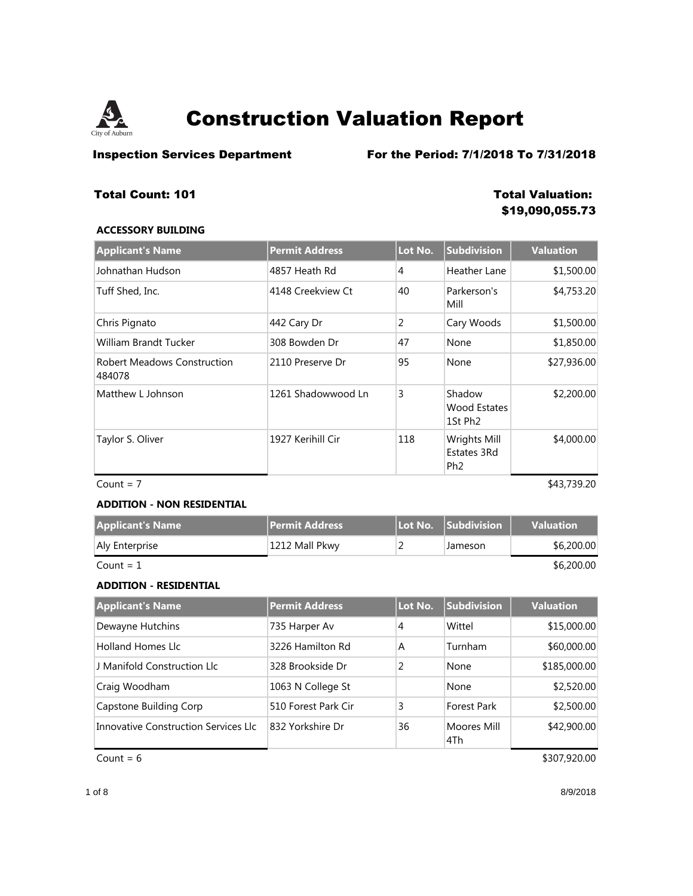

**Inspection Services Department** For the Period: 7/1/2018 To 7/31/2018

## **Total Count: 101 Total Valuation:**

# **\$19,090,055.73**

### **ACCESSORY BUILDING**

| <b>Applicant's Name</b>                      | <b>Permit Address</b> | Lot No. | <b>Subdivision</b>                                   | <b>Valuation</b> |
|----------------------------------------------|-----------------------|---------|------------------------------------------------------|------------------|
| Johnathan Hudson                             | 4857 Heath Rd         | 4       | Heather Lane                                         | \$1,500.00       |
| Tuff Shed, Inc.                              | 4148 Creekview Ct     | 40      | Parkerson's<br>Mill                                  | \$4,753.20       |
| Chris Pignato                                | 442 Cary Dr           | 2       | Cary Woods                                           | \$1,500.00       |
| William Brandt Tucker                        | 308 Bowden Dr         | 47      | None                                                 | \$1,850.00       |
| <b>Robert Meadows Construction</b><br>484078 | 2110 Preserve Dr      | 95      | None                                                 | \$27,936.00      |
| Matthew L Johnson                            | 1261 Shadowwood Ln    | 3       | Shadow<br><b>Wood Estates</b><br>1St Ph <sub>2</sub> | \$2,200.00       |
| Taylor S. Oliver                             | 1927 Kerihill Cir     | 118     | Wrights Mill<br>Estates 3Rd<br>Ph <sub>2</sub>       | \$4,000.00       |

 $Count = 7$  \$43,739.20

### **ADDITION - NON RESIDENTIAL**

| <b>Applicant's Name</b> | ll Permit Address ' |         | <b>Valuation</b> |
|-------------------------|---------------------|---------|------------------|
| Aly Enterprise          | 1212 Mall Pkwy      | Jameson | \$6,200.00       |
| Count = $1$             |                     |         | \$6,200.00       |

### **ADDITION - RESIDENTIAL**

| <b>Applicant's Name</b>              | <b>Permit Address</b> | Lot No. | <b>Subdivision</b> | <b>Valuation</b> |
|--------------------------------------|-----------------------|---------|--------------------|------------------|
| Dewayne Hutchins                     | 735 Harper Av         | 4       | Wittel             | \$15,000.00      |
| <b>Holland Homes Llc</b>             | 3226 Hamilton Rd      | A       | <b>Turnham</b>     | \$60,000.00      |
| J Manifold Construction Llc          | 328 Brookside Dr      | 2       | None               | \$185,000.00     |
| Craig Woodham                        | 1063 N College St     |         | None               | \$2,520.00       |
| Capstone Building Corp               | 510 Forest Park Cir   | 3       | <b>Forest Park</b> | \$2,500.00       |
| Innovative Construction Services LIc | 832 Yorkshire Dr      | 36      | Moores Mill<br>4Th | \$42,900.00      |

 $Count = 6$  \$307,920.00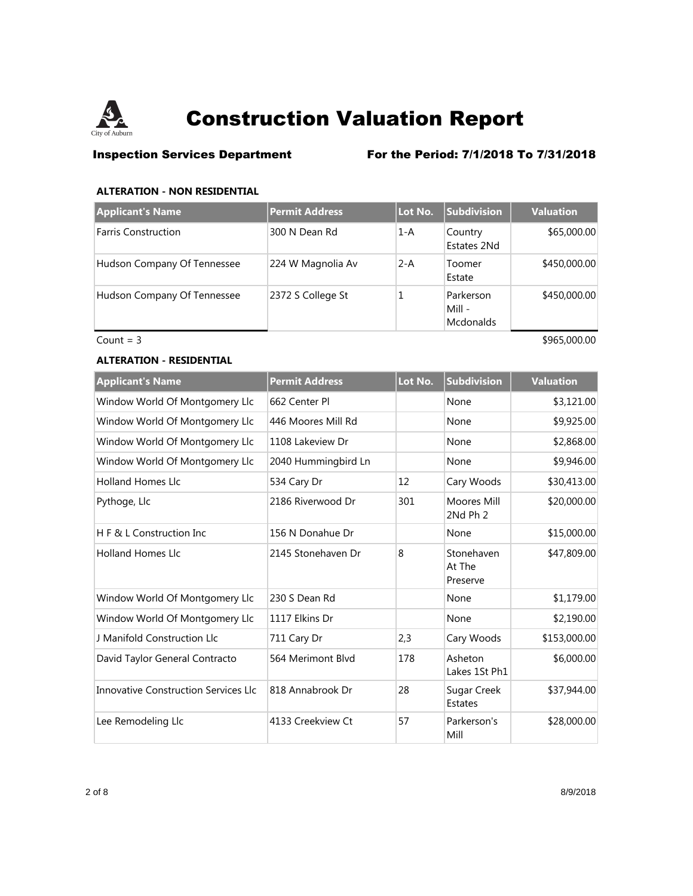

## **Inspection Services Department** For the Period: 7/1/2018 To 7/31/2018

### **ALTERATION - NON RESIDENTIAL**

| <b>Applicant's Name</b>     | <b>Permit Address</b> | Lot No. | <b>Subdivision</b>                      | <b>Valuation</b> |
|-----------------------------|-----------------------|---------|-----------------------------------------|------------------|
| <b>Farris Construction</b>  | 300 N Dean Rd         | $1-A$   | Country<br>Estates 2Nd                  | \$65,000.00      |
| Hudson Company Of Tennessee | 224 W Magnolia Av     | $2 - A$ | Toomer<br>Estate                        | \$450,000.00     |
| Hudson Company Of Tennessee | 2372 S College St     |         | Parkerson<br>Mill -<br><b>Mcdonalds</b> | \$450,000.00     |

 $Count = 3$  \$965,000.00

### **ALTERATION - RESIDENTIAL**

| <b>Applicant's Name</b>              | <b>Permit Address</b> | Lot No. | <b>Subdivision</b>               | <b>Valuation</b> |
|--------------------------------------|-----------------------|---------|----------------------------------|------------------|
| Window World Of Montgomery Llc       | 662 Center Pl         |         | None                             | \$3,121.00       |
| Window World Of Montgomery Llc       | 446 Moores Mill Rd    |         | None                             | \$9,925.00       |
| Window World Of Montgomery Llc       | 1108 Lakeview Dr      |         | None                             | \$2,868.00       |
| Window World Of Montgomery Llc       | 2040 Hummingbird Ln   |         | None                             | \$9,946.00       |
| <b>Holland Homes Llc</b>             | 534 Cary Dr           | 12      | Cary Woods                       | \$30,413.00      |
| Pythoge, Llc                         | 2186 Riverwood Dr     | 301     | Moores Mill<br>2Nd Ph 2          | \$20,000.00      |
| H F & L Construction Inc.            | 156 N Donahue Dr      |         | None                             | \$15,000.00      |
| <b>Holland Homes Llc</b>             | 2145 Stonehaven Dr    | 8       | Stonehaven<br>At The<br>Preserve | \$47,809.00      |
| Window World Of Montgomery Llc       | 230 S Dean Rd         |         | None                             | \$1,179.00       |
| Window World Of Montgomery Llc       | 1117 Elkins Dr        |         | None                             | \$2,190.00       |
| J Manifold Construction Llc          | 711 Cary Dr           | 2,3     | Cary Woods                       | \$153,000.00     |
| David Taylor General Contracto       | 564 Merimont Blvd     | 178     | Asheton<br>Lakes 1St Ph1         | \$6,000.00       |
| Innovative Construction Services Llc | 818 Annabrook Dr      | 28      | Sugar Creek<br><b>Estates</b>    | \$37,944.00      |
| Lee Remodeling Llc                   | 4133 Creekview Ct     | 57      | Parkerson's<br>Mill              | \$28,000.00      |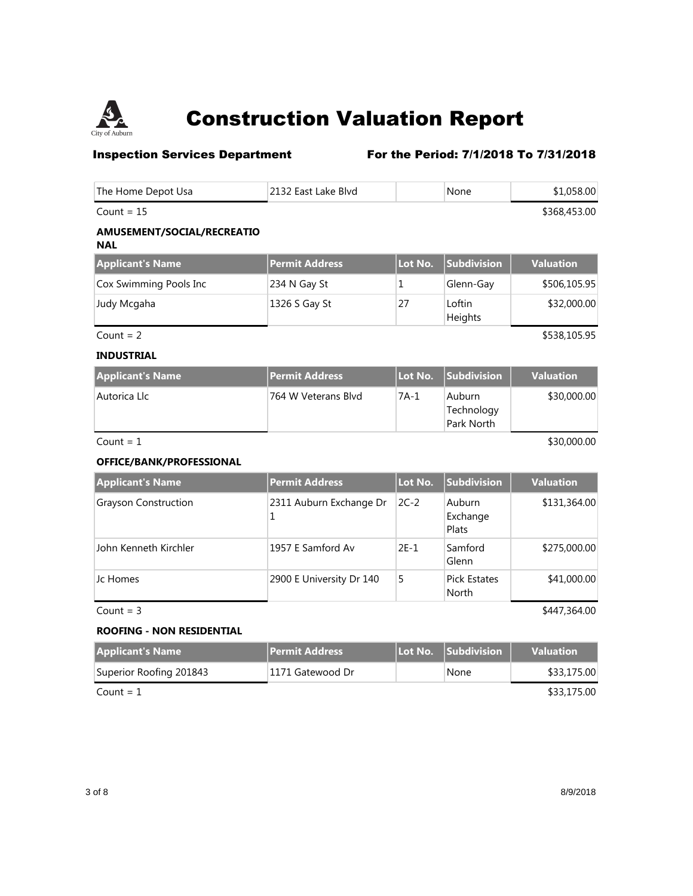

## **Inspection Services Department** For the Period: 7/1/2018 To 7/31/2018

| The Home Depot Usa                       | 2132 East Lake Blvd   |         | None                               | \$1,058.00       |
|------------------------------------------|-----------------------|---------|------------------------------------|------------------|
| Count = $15$                             |                       |         |                                    | \$368,453.00     |
| AMUSEMENT/SOCIAL/RECREATIO<br><b>NAL</b> |                       |         |                                    |                  |
| <b>Applicant's Name</b>                  | <b>Permit Address</b> | Lot No. | <b>Subdivision</b>                 | <b>Valuation</b> |
| Cox Swimming Pools Inc                   | 234 N Gay St          | 1       | Glenn-Gay                          | \$506,105.95     |
| Judy Mcgaha                              | 1326 S Gay St         | 27      | Loftin<br>Heights                  | \$32,000.00      |
| Count = $2$                              |                       |         |                                    | \$538,105.95     |
| <b>INDUSTRIAL</b>                        |                       |         |                                    |                  |
| <b>Applicant's Name</b>                  | <b>Permit Address</b> | Lot No. | <b>Subdivision</b>                 | <b>Valuation</b> |
| Autorica Llc                             | 764 W Veterans Blvd   | $7A-1$  | Auburn<br>Technology<br>Park North | \$30,000.00      |

 $\text{Count} = 1$  \$30,000.00

### **OFFICE/BANK/PROFESSIONAL**

| <b>Applicant's Name</b>     | <b>Permit Address</b>    | Lot No. | Subdivision                  | <b>Valuation</b> |
|-----------------------------|--------------------------|---------|------------------------------|------------------|
| <b>Grayson Construction</b> | 2311 Auburn Exchange Dr  | $2C-2$  | Auburn<br>Exchange<br>Plats  | \$131,364.00     |
| John Kenneth Kirchler       | 1957 E Samford Av        | $2E-1$  | Samford<br>Glenn             | \$275,000.00     |
| Jc Homes                    | 2900 E University Dr 140 | 5       | <b>Pick Estates</b><br>North | \$41,000.00      |

 $Count = 3$  \$447,364.00

### **ROOFING - NON RESIDENTIAL**

| <b>Applicant's Name</b> | l <b>Permit Address</b> ' | l Lot No. Subdivision \ | <b>Valuation</b> |
|-------------------------|---------------------------|-------------------------|------------------|
| Superior Roofing 201843 | 1171 Gatewood Dr          | None                    | \$33,175.00      |
| $Count = 1$             | \$33,175.00               |                         |                  |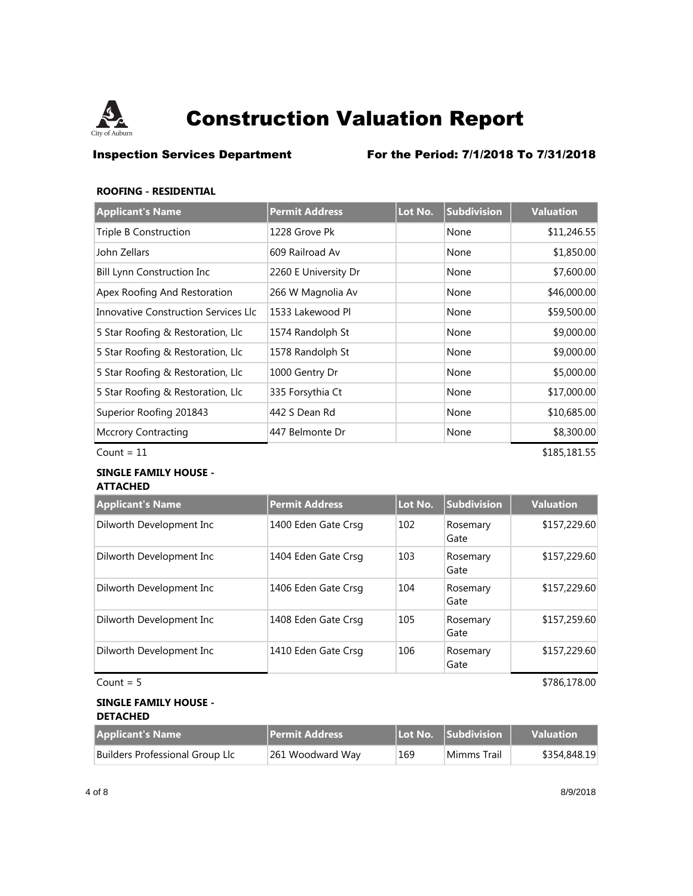

**Inspection Services Department** For the Period: 7/1/2018 To 7/31/2018

### **ROOFING - RESIDENTIAL**

| <b>Applicant's Name</b>              | <b>Permit Address</b> | Lot No. | <b>Subdivision</b> | <b>Valuation</b> |
|--------------------------------------|-----------------------|---------|--------------------|------------------|
| Triple B Construction                | 1228 Grove Pk         |         | None               | \$11,246.55      |
| John Zellars                         | 609 Railroad Av       |         | None               | \$1,850.00       |
| <b>Bill Lynn Construction Inc</b>    | 2260 E University Dr  |         | None               | \$7,600.00       |
| Apex Roofing And Restoration         | 266 W Magnolia Av     |         | None               | \$46,000.00      |
| Innovative Construction Services Llc | 1533 Lakewood Pl      |         | None               | \$59,500.00      |
| 5 Star Roofing & Restoration, Llc    | 1574 Randolph St      |         | None               | \$9,000.00       |
| 5 Star Roofing & Restoration, Llc    | 1578 Randolph St      |         | None               | \$9,000.00       |
| 5 Star Roofing & Restoration, Llc    | 1000 Gentry Dr        |         | None               | \$5,000.00       |
| 5 Star Roofing & Restoration, Llc    | 335 Forsythia Ct      |         | None               | \$17,000.00      |
| Superior Roofing 201843              | 442 S Dean Rd         |         | None               | \$10,685.00      |
| <b>Mccrory Contracting</b>           | 447 Belmonte Dr       |         | None               | \$8,300.00       |
| Count = $11$                         |                       |         |                    | \$185,181.55     |

### **SINGLE FAMILY HOUSE - ATTACHED**

| <b>Applicant's Name</b>  | <b>Permit Address</b> | Lot No. | Subdivision      | <b>Valuation</b> |
|--------------------------|-----------------------|---------|------------------|------------------|
| Dilworth Development Inc | 1400 Eden Gate Crsg   | 102     | Rosemary<br>Gate | \$157,229.60     |
| Dilworth Development Inc | 1404 Eden Gate Crsg   | 103     | Rosemary<br>Gate | \$157,229.60     |
| Dilworth Development Inc | 1406 Eden Gate Crsg   | 104     | Rosemary<br>Gate | \$157,229.60     |
| Dilworth Development Inc | 1408 Eden Gate Crsg   | 105     | Rosemary<br>Gate | \$157,259.60     |
| Dilworth Development Inc | 1410 Eden Gate Crsg   | 106     | Rosemary<br>Gate | \$157,229.60     |
| Count $= 5$              |                       |         |                  | \$786,178.00     |

### **SINGLE FAMILY HOUSE - DETACHED**

| <b>Applicant's Name</b>         | <b>Permit Address</b> |     | Lot No. Subdivision | <b>Valuation</b> |
|---------------------------------|-----------------------|-----|---------------------|------------------|
| Builders Professional Group Llc | 261 Woodward Way      | 169 | Mimms Trail         | \$354,848.19     |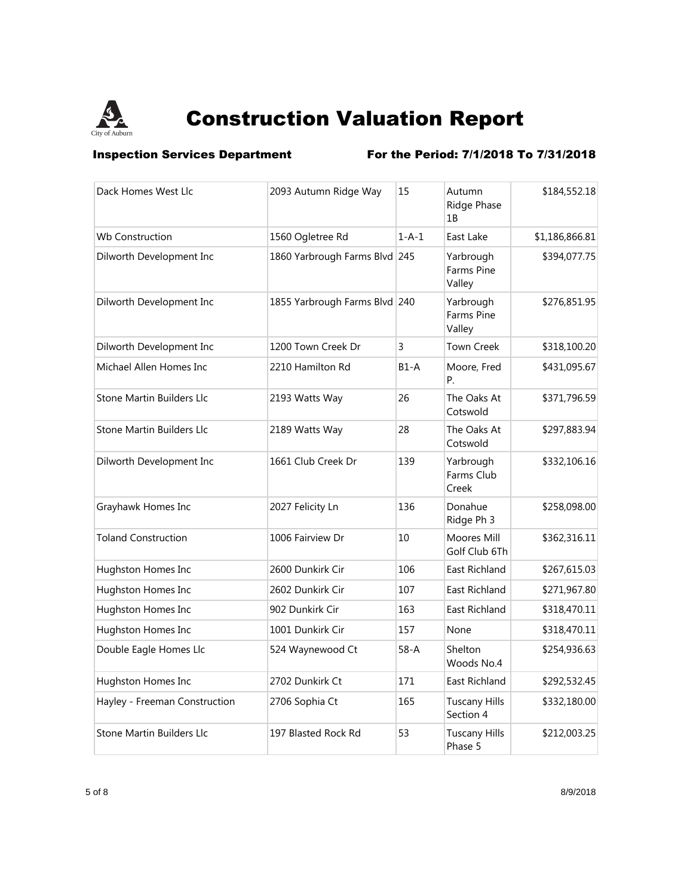

**Inspection Services Department** For the Period: 7/1/2018 To 7/31/2018

| Dack Homes West Llc           | 2093 Autumn Ridge Way         | 15       | Autumn<br>Ridge Phase<br>1B       | \$184,552.18   |
|-------------------------------|-------------------------------|----------|-----------------------------------|----------------|
| <b>Wb Construction</b>        | 1560 Ogletree Rd              | $1-A-1$  | East Lake                         | \$1,186,866.81 |
| Dilworth Development Inc      | 1860 Yarbrough Farms Blvd 245 |          | Yarbrough<br>Farms Pine<br>Valley | \$394,077.75   |
| Dilworth Development Inc      | 1855 Yarbrough Farms Blvd 240 |          | Yarbrough<br>Farms Pine<br>Valley | \$276,851.95   |
| Dilworth Development Inc      | 1200 Town Creek Dr            | 3        | <b>Town Creek</b>                 | \$318,100.20   |
| Michael Allen Homes Inc       | 2210 Hamilton Rd              | $B1-A$   | Moore, Fred<br>P.                 | \$431,095.67   |
| Stone Martin Builders Llc     | 2193 Watts Way                | 26       | The Oaks At<br>Cotswold           | \$371,796.59   |
| Stone Martin Builders Llc     | 2189 Watts Way                | 28       | The Oaks At<br>Cotswold           | \$297,883.94   |
| Dilworth Development Inc      | 1661 Club Creek Dr            | 139      | Yarbrough<br>Farms Club<br>Creek  | \$332,106.16   |
| Grayhawk Homes Inc            | 2027 Felicity Ln              | 136      | Donahue<br>Ridge Ph 3             | \$258,098.00   |
| <b>Toland Construction</b>    | 1006 Fairview Dr              | 10       | Moores Mill<br>Golf Club 6Th      | \$362,316.11   |
| Hughston Homes Inc            | 2600 Dunkirk Cir              | 106      | East Richland                     | \$267,615.03   |
| Hughston Homes Inc            | 2602 Dunkirk Cir              | 107      | East Richland                     | \$271,967.80   |
| Hughston Homes Inc            | 902 Dunkirk Cir               | 163      | <b>East Richland</b>              | \$318,470.11   |
| Hughston Homes Inc            | 1001 Dunkirk Cir              | 157      | None                              | \$318,470.11   |
| Double Eagle Homes Llc        | 524 Waynewood Ct              | $58 - A$ | Shelton<br>Woods No.4             | \$254,936.63   |
| Hughston Homes Inc            | 2702 Dunkirk Ct               | 171      | East Richland                     | \$292,532.45   |
| Hayley - Freeman Construction | 2706 Sophia Ct                | 165      | <b>Tuscany Hills</b><br>Section 4 | \$332,180.00   |
| Stone Martin Builders Llc     | 197 Blasted Rock Rd           | 53       | <b>Tuscany Hills</b><br>Phase 5   | \$212,003.25   |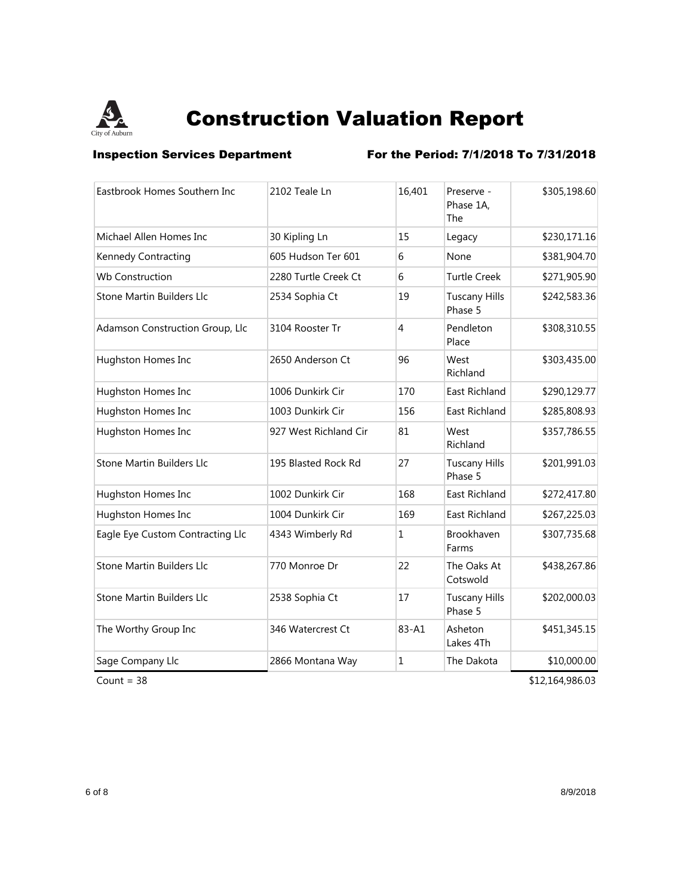

**Inspection Services Department** For the Period: 7/1/2018 To 7/31/2018

| Eastbrook Homes Southern Inc     | 2102 Teale Ln         | 16,401         | Preserve -<br>Phase 1A,<br>The  | \$305,198.60 |
|----------------------------------|-----------------------|----------------|---------------------------------|--------------|
| Michael Allen Homes Inc          | 30 Kipling Ln         | 15             | Legacy                          | \$230,171.16 |
| Kennedy Contracting              | 605 Hudson Ter 601    | 6              | None                            | \$381,904.70 |
| <b>Wb Construction</b>           | 2280 Turtle Creek Ct  | 6              | <b>Turtle Creek</b>             | \$271,905.90 |
| Stone Martin Builders Llc        | 2534 Sophia Ct        | 19             | <b>Tuscany Hills</b><br>Phase 5 | \$242,583.36 |
| Adamson Construction Group, Llc  | 3104 Rooster Tr       | $\overline{4}$ | Pendleton<br>Place              | \$308,310.55 |
| Hughston Homes Inc               | 2650 Anderson Ct      | 96             | West<br>Richland                | \$303,435.00 |
| Hughston Homes Inc               | 1006 Dunkirk Cir      | 170            | East Richland                   | \$290,129.77 |
| Hughston Homes Inc               | 1003 Dunkirk Cir      | 156            | East Richland                   | \$285,808.93 |
| Hughston Homes Inc               | 927 West Richland Cir | 81             | West<br>Richland                | \$357,786.55 |
| Stone Martin Builders Llc        | 195 Blasted Rock Rd   | 27             | <b>Tuscany Hills</b><br>Phase 5 | \$201,991.03 |
| Hughston Homes Inc               | 1002 Dunkirk Cir      | 168            | East Richland                   | \$272,417.80 |
| Hughston Homes Inc               | 1004 Dunkirk Cir      | 169            | <b>East Richland</b>            | \$267,225.03 |
| Eagle Eye Custom Contracting Llc | 4343 Wimberly Rd      | $\mathbf{1}$   | Brookhaven<br>Farms             | \$307,735.68 |
| Stone Martin Builders Llc        | 770 Monroe Dr         | 22             | The Oaks At<br>Cotswold         | \$438,267.86 |
| Stone Martin Builders Llc        | 2538 Sophia Ct        | 17             | <b>Tuscany Hills</b><br>Phase 5 | \$202,000.03 |
| The Worthy Group Inc             | 346 Watercrest Ct     | 83-A1          | Asheton<br>Lakes 4Th            | \$451,345.15 |
| Sage Company Llc                 | 2866 Montana Way      | 1              | The Dakota                      | \$10,000.00  |

 $Count = 38$  \$12,164,986.03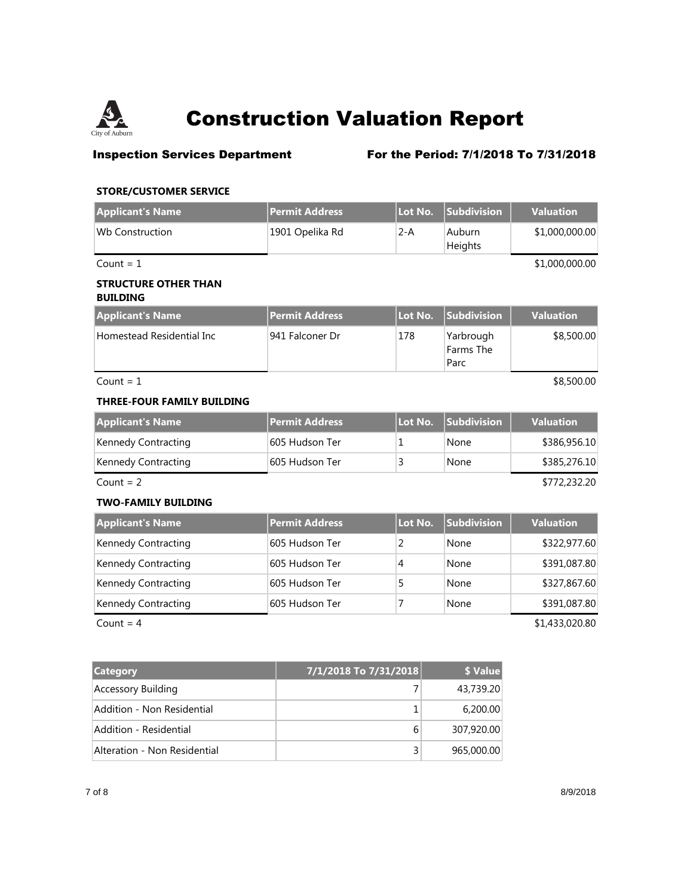

## **Inspection Services Department** For the Period: 7/1/2018 To 7/31/2018

### **STORE/CUSTOMER SERVICE**

| <b>Applicant's Name</b>                        | <b>Permit Address</b> | Lot No.        | <b>Subdivision</b>             | <b>Valuation</b> |
|------------------------------------------------|-----------------------|----------------|--------------------------------|------------------|
| <b>Wb Construction</b>                         | 1901 Opelika Rd       | $2-A$          | Auburn<br>Heights              | \$1,000,000.00   |
| Count = $1$                                    |                       |                |                                | \$1,000,000.00   |
| <b>STRUCTURE OTHER THAN</b><br><b>BUILDING</b> |                       |                |                                |                  |
| <b>Applicant's Name</b>                        | <b>Permit Address</b> | Lot No.        | Subdivision                    | <b>Valuation</b> |
| Homestead Residential Inc                      | 941 Falconer Dr       | 178            | Yarbrough<br>Farms The<br>Parc | \$8,500.00       |
| Count = $1$                                    |                       |                |                                | \$8,500.00       |
| <b>THREE-FOUR FAMILY BUILDING</b>              |                       |                |                                |                  |
| <b>Applicant's Name</b>                        | <b>Permit Address</b> | Lot No.        | <b>Subdivision</b>             | <b>Valuation</b> |
| Kennedy Contracting                            | 605 Hudson Ter        | 1              | None                           | \$386,956.10     |
| Kennedy Contracting                            | 605 Hudson Ter        | 3              | None                           | \$385,276.10     |
| Count = $2$                                    |                       |                |                                | \$772,232.20     |
| <b>TWO-FAMILY BUILDING</b>                     |                       |                |                                |                  |
| <b>Applicant's Name</b>                        | <b>Permit Address</b> | Lot No.        | Subdivision                    | <b>Valuation</b> |
| Kennedy Contracting                            | 605 Hudson Ter        | $\overline{2}$ | None                           | \$322,977.60     |
| Kennedy Contracting                            | 605 Hudson Ter        | 4              | None                           | \$391,087.80     |
| Kennedy Contracting                            | 605 Hudson Ter        | 5              | None                           | \$327,867.60     |
| Kennedy Contracting                            | 605 Hudson Ter        | 7              | None                           | \$391,087.80     |
| Count = $4$                                    |                       |                |                                | \$1,433,020.80   |

| <b>Category</b>              | 7/1/2018 To 7/31/2018 | \$ Value   |
|------------------------------|-----------------------|------------|
| Accessory Building           |                       | 43,739.20  |
| Addition - Non Residential   |                       | 6,200,00   |
| Addition - Residential       | 6                     | 307,920.00 |
| Alteration - Non Residential |                       | 965,000.00 |

7 of 8 8/9/2018